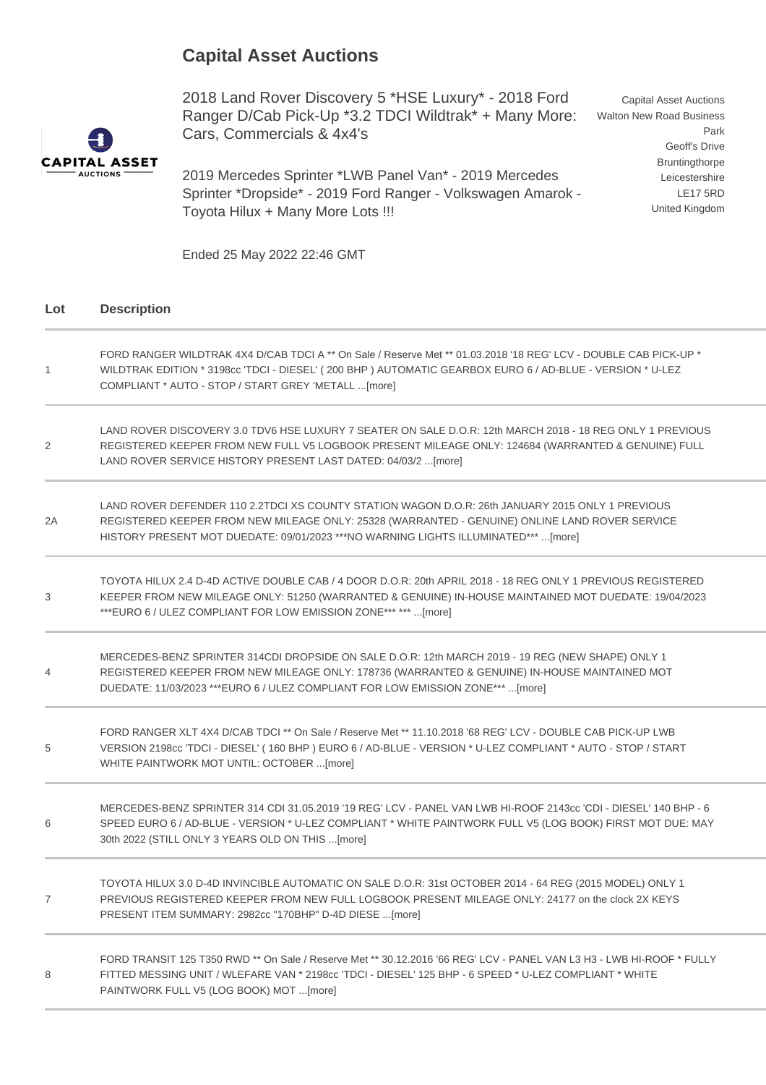## **Capital Asset Auctions**

**CAPITAL ASSET AUCTIONS** 

2018 Land Rover Discovery 5 \*HSE Luxury\* - 2018 Ford Ranger D/Cab Pick-Up \*3.2 TDCI Wildtrak\* + Many More: Cars, Commercials & 4x4's

2019 Mercedes Sprinter \*LWB Panel Van\* - 2019 Mercedes Sprinter \*Dropside\* - 2019 Ford Ranger - Volkswagen Amarok - Toyota Hilux + Many More Lots !!!

Capital Asset Auctions Walton New Road Business Park Geoff's Drive Bruntingthorpe Leicestershire LE17 5RD United Kingdom

Ended 25 May 2022 22:46 GMT

## **Lot Description**

| $\mathbf{1}$   | FORD RANGER WILDTRAK 4X4 D/CAB TDCI A ** On Sale / Reserve Met ** 01.03.2018 '18 REG' LCV - DOUBLE CAB PICK-UP *<br>WILDTRAK EDITION * 3198cc 'TDCI - DIESEL' (200 BHP) AUTOMATIC GEARBOX EURO 6 / AD-BLUE - VERSION * U-LEZ<br>COMPLIANT * AUTO - STOP / START GREY 'METALL  [more]     |
|----------------|------------------------------------------------------------------------------------------------------------------------------------------------------------------------------------------------------------------------------------------------------------------------------------------|
| 2              | LAND ROVER DISCOVERY 3.0 TDV6 HSE LUXURY 7 SEATER ON SALE D.O.R: 12th MARCH 2018 - 18 REG ONLY 1 PREVIOUS<br>REGISTERED KEEPER FROM NEW FULL V5 LOGBOOK PRESENT MILEAGE ONLY: 124684 (WARRANTED & GENUINE) FULL<br>LAND ROVER SERVICE HISTORY PRESENT LAST DATED: 04/03/2  [more]        |
| 2A             | LAND ROVER DEFENDER 110 2.2TDCI XS COUNTY STATION WAGON D.O.R: 26th JANUARY 2015 ONLY 1 PREVIOUS<br>REGISTERED KEEPER FROM NEW MILEAGE ONLY: 25328 (WARRANTED - GENUINE) ONLINE LAND ROVER SERVICE<br>HISTORY PRESENT MOT DUEDATE: 09/01/2023 ***NO WARNING LIGHTS ILLUMINATED*** [more] |
| 3              | TOYOTA HILUX 2.4 D-4D ACTIVE DOUBLE CAB / 4 DOOR D.O.R: 20th APRIL 2018 - 18 REG ONLY 1 PREVIOUS REGISTERED<br>KEEPER FROM NEW MILEAGE ONLY: 51250 (WARRANTED & GENUINE) IN-HOUSE MAINTAINED MOT DUEDATE: 19/04/2023<br>*** EURO 6 / ULEZ COMPLIANT FOR LOW EMISSION ZONE*** ***  [more] |
| $\overline{4}$ | MERCEDES-BENZ SPRINTER 314CDI DROPSIDE ON SALE D.O.R: 12th MARCH 2019 - 19 REG (NEW SHAPE) ONLY 1<br>REGISTERED KEEPER FROM NEW MILEAGE ONLY: 178736 (WARRANTED & GENUINE) IN-HOUSE MAINTAINED MOT<br>DUEDATE: 11/03/2023 ***EURO 6 / ULEZ COMPLIANT FOR LOW EMISSION ZONE*** [more]     |
| 5              | FORD RANGER XLT 4X4 D/CAB TDCI ** On Sale / Reserve Met ** 11.10.2018 '68 REG' LCV - DOUBLE CAB PICK-UP LWB<br>VERSION 2198cc 'TDCI - DIESEL' (160 BHP) EURO 6 / AD-BLUE - VERSION * U-LEZ COMPLIANT * AUTO - STOP / START<br>WHITE PAINTWORK MOT UNTIL: OCTOBER [more]                  |
| 6              | MERCEDES-BENZ SPRINTER 314 CDI 31.05.2019 '19 REG' LCV - PANEL VAN LWB HI-ROOF 2143cc 'CDI - DIESEL' 140 BHP - 6<br>SPEED EURO 6 / AD-BLUE - VERSION * U-LEZ COMPLIANT * WHITE PAINTWORK FULL V5 (LOG BOOK) FIRST MOT DUE: MAY<br>30th 2022 (STILL ONLY 3 YEARS OLD ON THIS [more]       |
| $\overline{7}$ | TOYOTA HILUX 3.0 D-4D INVINCIBLE AUTOMATIC ON SALE D.O.R: 31st OCTOBER 2014 - 64 REG (2015 MODEL) ONLY 1<br>PREVIOUS REGISTERED KEEPER FROM NEW FULL LOGBOOK PRESENT MILEAGE ONLY: 24177 on the clock 2X KEYS<br>PRESENT ITEM SUMMARY: 2982cc "170BHP" D-4D DIESE [more]                 |
| 8              | FORD TRANSIT 125 T350 RWD ** On Sale / Reserve Met ** 30.12.2016 '66 REG' LCV - PANEL VAN L3 H3 - LWB HI-ROOF * FULLY<br>FITTED MESSING UNIT / WLEFARE VAN * 2198cc 'TDCI - DIESEL' 125 BHP - 6 SPEED * U-LEZ COMPLIANT * WHITE<br>PAINTWORK FULL V5 (LOG BOOK) MOT [more]               |